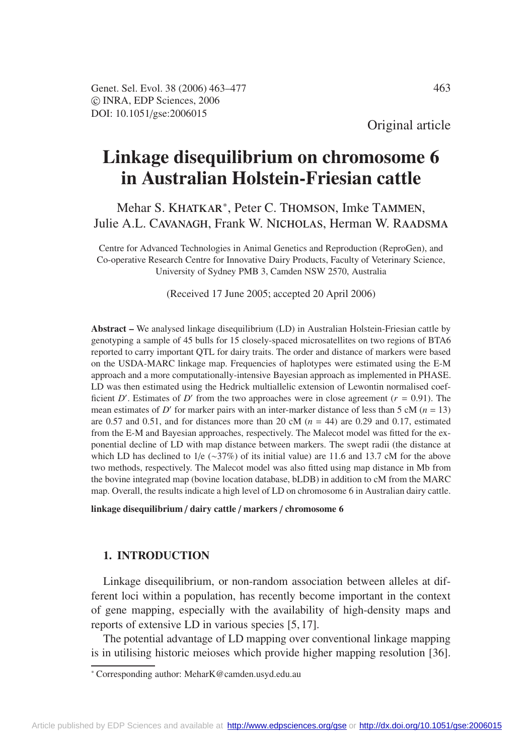# **Linkage disequilibrium on chromosome 6 in Australian Holstein-Friesian cattle**

# Mehar S. KHATKAR<sup>\*</sup>, Peter C. THOMSON, Imke TAMMEN, Julie A.L. CAVANAGH, Frank W. NICHOLAS, Herman W. RAADSMA

Centre for Advanced Technologies in Animal Genetics and Reproduction (ReproGen), and Co-operative Research Centre for Innovative Dairy Products, Faculty of Veterinary Science, University of Sydney PMB 3, Camden NSW 2570, Australia

(Received 17 June 2005; accepted 20 April 2006)

**Abstract –** We analysed linkage disequilibrium (LD) in Australian Holstein-Friesian cattle by genotyping a sample of 45 bulls for 15 closely-spaced microsatellites on two regions of BTA6 reported to carry important QTL for dairy traits. The order and distance of markers were based on the USDA-MARC linkage map. Frequencies of haplotypes were estimated using the E-M approach and a more computationally-intensive Bayesian approach as implemented in PHASE. LD was then estimated using the Hedrick multiallelic extension of Lewontin normalised coefficient *D'*. Estimates of *D'* from the two approaches were in close agreement ( $r = 0.91$ ). The mean estimates of *D'* for marker pairs with an inter-marker distance of less than  $5 \text{ cM } (n = 13)$ are 0.57 and 0.51, and for distances more than 20 cM  $(n = 44)$  are 0.29 and 0.17, estimated from the E-M and Bayesian approaches, respectively. The Malecot model was fitted for the exponential decline of LD with map distance between markers. The swept radii (the distance at which LD has declined to 1/e (∼37%) of its initial value) are 11.6 and 13.7 cM for the above two methods, respectively. The Malecot model was also fitted using map distance in Mb from the bovine integrated map (bovine location database, bLDB) in addition to cM from the MARC map. Overall, the results indicate a high level of LD on chromosome 6 in Australian dairy cattle.

**linkage disequilibrium** / **dairy cattle** / **markers** / **chromosome 6**

# **1. INTRODUCTION**

Linkage disequilibrium, or non-random association between alleles at different loci within a population, has recently become important in the context of gene mapping, especially with the availability of high-density maps and reports of extensive LD in various species [5, 17].

The potential advantage of LD mapping over conventional linkage mapping is in utilising historic meioses which provide higher mapping resolution [36].

<sup>∗</sup> Corresponding author: MeharK@camden.usyd.edu.au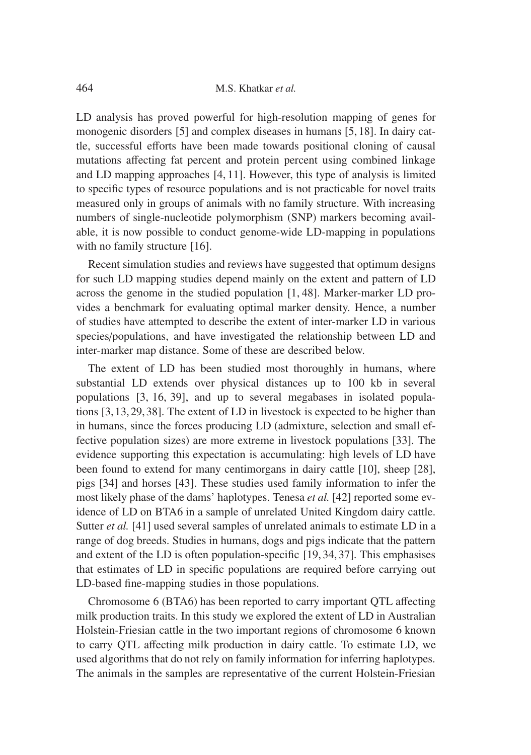LD analysis has proved powerful for high-resolution mapping of genes for monogenic disorders [5] and complex diseases in humans [5,18]. In dairy cattle, successful efforts have been made towards positional cloning of causal mutations affecting fat percent and protein percent using combined linkage and LD mapping approaches [4, 11]. However, this type of analysis is limited to specific types of resource populations and is not practicable for novel traits measured only in groups of animals with no family structure. With increasing numbers of single-nucleotide polymorphism (SNP) markers becoming available, it is now possible to conduct genome-wide LD-mapping in populations with no family structure [16].

Recent simulation studies and reviews have suggested that optimum designs for such LD mapping studies depend mainly on the extent and pattern of LD across the genome in the studied population [1, 48]. Marker-marker LD provides a benchmark for evaluating optimal marker density. Hence, a number of studies have attempted to describe the extent of inter-marker LD in various species/populations, and have investigated the relationship between LD and inter-marker map distance. Some of these are described below.

The extent of LD has been studied most thoroughly in humans, where substantial LD extends over physical distances up to 100 kb in several populations [3, 16, 39], and up to several megabases in isolated populations [3,13,29,38]. The extent of LD in livestock is expected to be higher than in humans, since the forces producing LD (admixture, selection and small effective population sizes) are more extreme in livestock populations [33]. The evidence supporting this expectation is accumulating: high levels of LD have been found to extend for many centimorgans in dairy cattle [10], sheep [28], pigs [34] and horses [43]. These studies used family information to infer the most likely phase of the dams' haplotypes. Tenesa *et al.* [42] reported some evidence of LD on BTA6 in a sample of unrelated United Kingdom dairy cattle. Sutter *et al.* [41] used several samples of unrelated animals to estimate LD in a range of dog breeds. Studies in humans, dogs and pigs indicate that the pattern and extent of the LD is often population-specific [19, 34, 37]. This emphasises that estimates of LD in specific populations are required before carrying out LD-based fine-mapping studies in those populations.

Chromosome 6 (BTA6) has been reported to carry important QTL affecting milk production traits. In this study we explored the extent of LD in Australian Holstein-Friesian cattle in the two important regions of chromosome 6 known to carry QTL affecting milk production in dairy cattle. To estimate LD, we used algorithms that do not rely on family information for inferring haplotypes. The animals in the samples are representative of the current Holstein-Friesian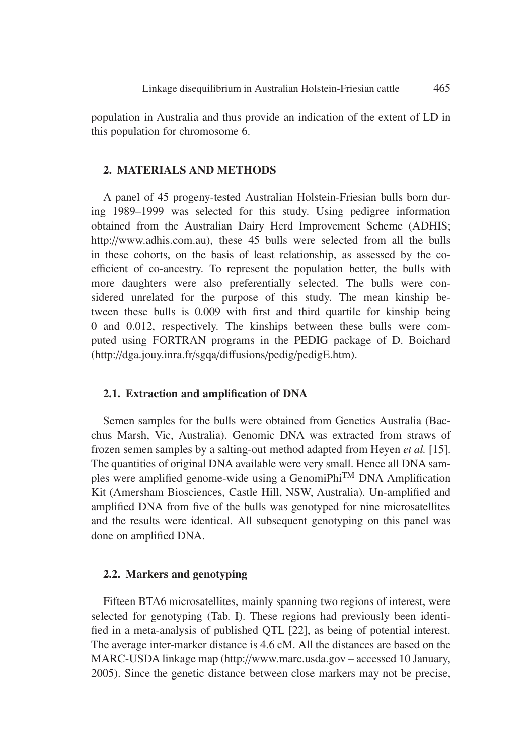population in Australia and thus provide an indication of the extent of LD in this population for chromosome 6.

# **2. MATERIALS AND METHODS**

A panel of 45 progeny-tested Australian Holstein-Friesian bulls born during 1989–1999 was selected for this study. Using pedigree information obtained from the Australian Dairy Herd Improvement Scheme (ADHIS; http://www.adhis.com.au), these 45 bulls were selected from all the bulls in these cohorts, on the basis of least relationship, as assessed by the coefficient of co-ancestry. To represent the population better, the bulls with more daughters were also preferentially selected. The bulls were considered unrelated for the purpose of this study. The mean kinship between these bulls is 0.009 with first and third quartile for kinship being 0 and 0.012, respectively. The kinships between these bulls were computed using FORTRAN programs in the PEDIG package of D. Boichard (http://dga.jouy.inra.fr/sgqa/diffusions/pedig/pedigE.htm).

# **2.1. Extraction and amplification of DNA**

Semen samples for the bulls were obtained from Genetics Australia (Bacchus Marsh, Vic, Australia). Genomic DNA was extracted from straws of frozen semen samples by a salting-out method adapted from Heyen *et al.* [15]. The quantities of original DNA available were very small. Hence all DNA samples were amplified genome-wide using a GenomiPhiTM DNA Amplification Kit (Amersham Biosciences, Castle Hill, NSW, Australia). Un-amplified and amplified DNA from five of the bulls was genotyped for nine microsatellites and the results were identical. All subsequent genotyping on this panel was done on amplified DNA.

# **2.2. Markers and genotyping**

Fifteen BTA6 microsatellites, mainly spanning two regions of interest, were selected for genotyping (Tab. I). These regions had previously been identified in a meta-analysis of published QTL [22], as being of potential interest. The average inter-marker distance is 4.6 cM. All the distances are based on the MARC-USDA linkage map (http://www.marc.usda.gov – accessed 10 January, 2005). Since the genetic distance between close markers may not be precise,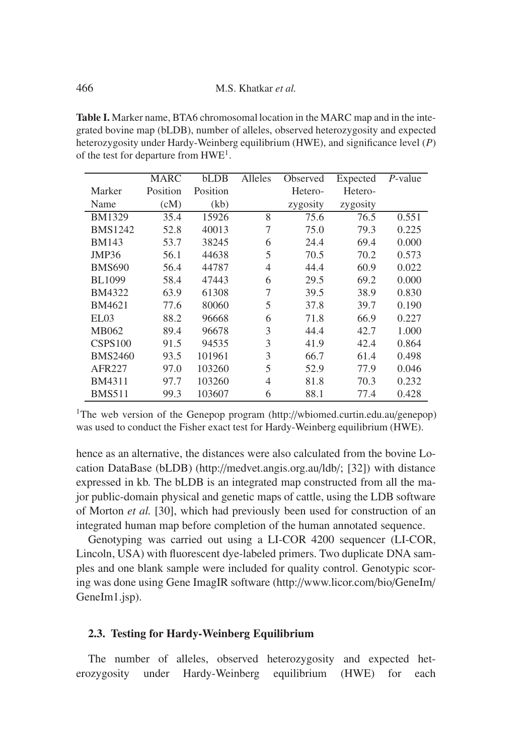**Table I.** Marker name, BTA6 chromosomal location in the MARC map and in the integrated bovine map (bLDB), number of alleles, observed heterozygosity and expected heterozygosity under Hardy-Weinberg equilibrium (HWE), and significance level (*P*) of the test for departure from HWE1.

|                | MARC     | <b>bLDB</b> | Alleles | Observed | Expected | P-value |
|----------------|----------|-------------|---------|----------|----------|---------|
| Marker         | Position | Position    |         | Hetero-  | Hetero-  |         |
| Name           | (cM)     | (kb)        |         | zygosity | zygosity |         |
| <b>BM1329</b>  | 35.4     | 15926       | 8       | 75.6     | 76.5     | 0.551   |
| <b>BMS1242</b> | 52.8     | 40013       | 7       | 75.0     | 79.3     | 0.225   |
| <b>BM143</b>   | 53.7     | 38245       | 6       | 24.4     | 69.4     | 0.000   |
| JMP36          | 56.1     | 44638       | 5       | 70.5     | 70.2     | 0.573   |
| <b>BMS690</b>  | 56.4     | 44787       | 4       | 44.4     | 60.9     | 0.022   |
| <b>BL1099</b>  | 58.4     | 47443       | 6       | 29.5     | 69.2     | 0.000   |
| <b>BM4322</b>  | 63.9     | 61308       | 7       | 39.5     | 38.9     | 0.830   |
| BM4621         | 77.6     | 80060       | 5       | 37.8     | 39.7     | 0.190   |
| EL03           | 88.2     | 96668       | 6       | 71.8     | 66.9     | 0.227   |
| MB062          | 89.4     | 96678       | 3       | 44.4     | 42.7     | 1.000   |
| CSPS100        | 91.5     | 94535       | 3       | 41.9     | 42.4     | 0.864   |
| <b>BMS2460</b> | 93.5     | 101961      | 3       | 66.7     | 61.4     | 0.498   |
| AFR227         | 97.0     | 103260      | 5       | 52.9     | 77.9     | 0.046   |
| BM4311         | 97.7     | 103260      | 4       | 81.8     | 70.3     | 0.232   |
| <b>BMS511</b>  | 99.3     | 103607      | 6       | 88.1     | 77.4     | 0.428   |

<sup>1</sup>The web version of the Genepop program (http://wbiomed.curtin.edu.au/genepop) was used to conduct the Fisher exact test for Hardy-Weinberg equilibrium (HWE).

hence as an alternative, the distances were also calculated from the bovine Location DataBase (bLDB) (http://medvet.angis.org.au/ldb/; [32]) with distance expressed in kb. The bLDB is an integrated map constructed from all the major public-domain physical and genetic maps of cattle, using the LDB software of Morton *et al.* [30], which had previously been used for construction of an integrated human map before completion of the human annotated sequence.

Genotyping was carried out using a LI-COR 4200 sequencer (LI-COR, Lincoln, USA) with fluorescent dye-labeled primers. Two duplicate DNA samples and one blank sample were included for quality control. Genotypic scoring was done using Gene ImagIR software (http://www.licor.com/bio/GeneIm/ GeneIm1.jsp).

# **2.3. Testing for Hardy-Weinberg Equilibrium**

The number of alleles, observed heterozygosity and expected heterozygosity under Hardy-Weinberg equilibrium (HWE) for each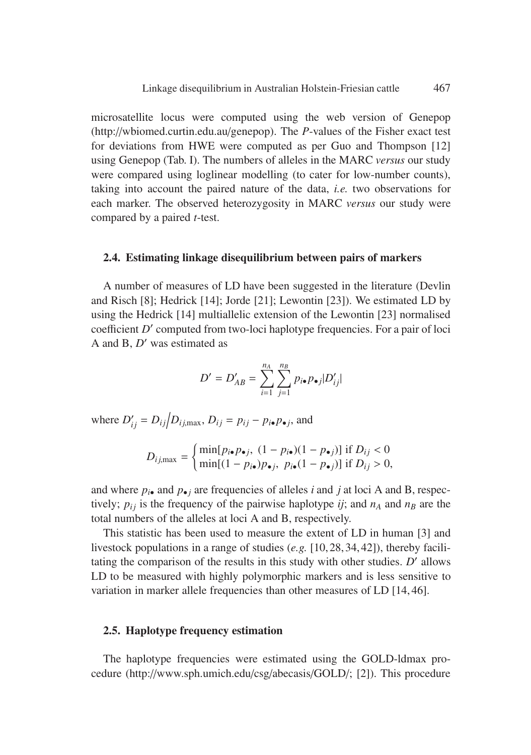microsatellite locus were computed using the web version of Genepop (http://wbiomed.curtin.edu.au/genepop). The *P*-values of the Fisher exact test for deviations from HWE were computed as per Guo and Thompson [12] using Genepop (Tab. I). The numbers of alleles in the MARC *versus* our study were compared using loglinear modelling (to cater for low-number counts), taking into account the paired nature of the data, *i.e.* two observations for each marker. The observed heterozygosity in MARC *versus* our study were compared by a paired *t*-test.

### **2.4. Estimating linkage disequilibrium between pairs of markers**

A number of measures of LD have been suggested in the literature (Devlin and Risch [8]; Hedrick [14]; Jorde [21]; Lewontin [23]). We estimated LD by using the Hedrick [14] multiallelic extension of the Lewontin [23] normalised coefficient *D'* computed from two-loci haplotype frequencies. For a pair of loci A and B, *D'* was estimated as

$$
D' = D'_{AB} = \sum_{i=1}^{n_A} \sum_{j=1}^{n_B} p_{i\bullet} p_{\bullet j} |D'_{ij}|
$$

where  $D'_{ij} = D_{ij}/D_{ij, \text{max}}$ ,  $D_{ij} = p_{ij} - p_{i\bullet}p_{\bullet j}$ , and

$$
D_{ij,\max} = \begin{cases} \min[p_{i\bullet}p_{\bullet j}, (1-p_{i\bullet})(1-p_{\bullet j})] \text{ if } D_{ij} < 0\\ \min[(1-p_{i\bullet})p_{\bullet j}, p_{i\bullet}(1-p_{\bullet j})] \text{ if } D_{ij} > 0, \end{cases}
$$

and where  $p_{i\bullet}$  and  $p_{\bullet}$  *j* are frequencies of alleles *i* and *j* at loci A and B, respectively;  $p_{ij}$  is the frequency of the pairwise haplotype *ij*; and  $n_A$  and  $n_B$  are the total numbers of the alleles at loci A and B, respectively.

This statistic has been used to measure the extent of LD in human [3] and livestock populations in a range of studies (*e.g.* [10,28,34,42]), thereby facilitating the comparison of the results in this study with other studies. *D'* allows LD to be measured with highly polymorphic markers and is less sensitive to variation in marker allele frequencies than other measures of LD [14, 46].

# **2.5. Haplotype frequency estimation**

The haplotype frequencies were estimated using the GOLD-ldmax procedure (http://www.sph.umich.edu/csg/abecasis/GOLD/; [2]). This procedure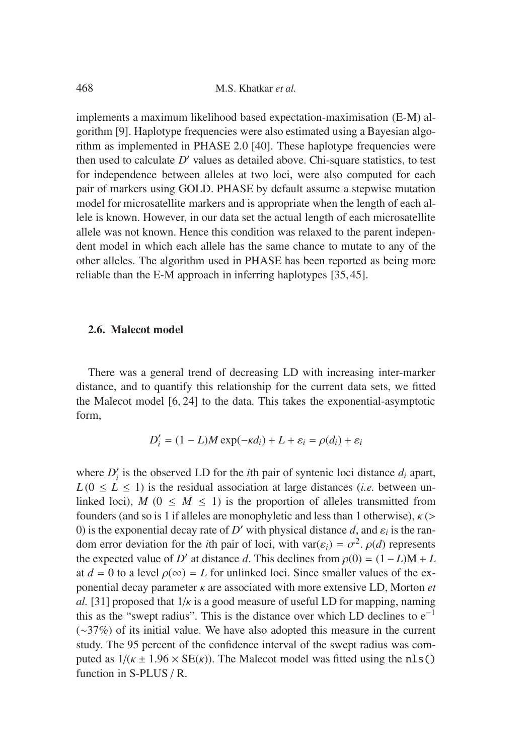468 M.S. Khatkar *et al.*

implements a maximum likelihood based expectation-maximisation (E-M) algorithm [9]. Haplotype frequencies were also estimated using a Bayesian algorithm as implemented in PHASE 2.0 [40]. These haplotype frequencies were then used to calculate  $D'$  values as detailed above. Chi-square statistics, to test for independence between alleles at two loci, were also computed for each pair of markers using GOLD. PHASE by default assume a stepwise mutation model for microsatellite markers and is appropriate when the length of each allele is known. However, in our data set the actual length of each microsatellite allele was not known. Hence this condition was relaxed to the parent independent model in which each allele has the same chance to mutate to any of the other alleles. The algorithm used in PHASE has been reported as being more reliable than the E-M approach in inferring haplotypes [35, 45].

#### **2.6. Malecot model**

There was a general trend of decreasing LD with increasing inter-marker distance, and to quantify this relationship for the current data sets, we fitted the Malecot model [6, 24] to the data. This takes the exponential-asymptotic form,

$$
D'_{i} = (1 - L)M \exp(-\kappa d_{i}) + L + \varepsilon_{i} = \rho(d_{i}) + \varepsilon_{i}
$$

where  $D_i'$  is the observed LD for the *i*th pair of syntenic loci distance  $d_i$  apart,  $L(0 \leq L \leq 1)$  is the residual association at large distances *(i.e.* between unlinked loci),  $M$  ( $0 \leq M \leq 1$ ) is the proportion of alleles transmitted from founders (and so is 1 if alleles are monophyletic and less than 1 otherwise),  $\kappa$  (> 0) is the exponential decay rate of *D'* with physical distance *d*, and  $\varepsilon_i$  is the random error deviation for the *i*th pair of loci, with var( $\varepsilon$ <sup>*i*</sup>) =  $\sigma$ <sup>2</sup>.  $\rho$ (*d*) represents the expected value of *D'* at distance *d*. This declines from  $\rho(0) = (1 - L)M + L$ at  $d = 0$  to a level  $\rho(\infty) = L$  for unlinked loci. Since smaller values of the exponential decay parameter κ are associated with more extensive LD, Morton *et al.* [31] proposed that  $1/\kappa$  is a good measure of useful LD for mapping, naming this as the "swept radius". This is the distance over which LD declines to  $e^{-1}$ (∼37%) of its initial value. We have also adopted this measure in the current study. The 95 percent of the confidence interval of the swept radius was computed as  $1/(k \pm 1.96 \times SE(k))$ . The Malecot model was fitted using the nls() function in S-PLUS / R.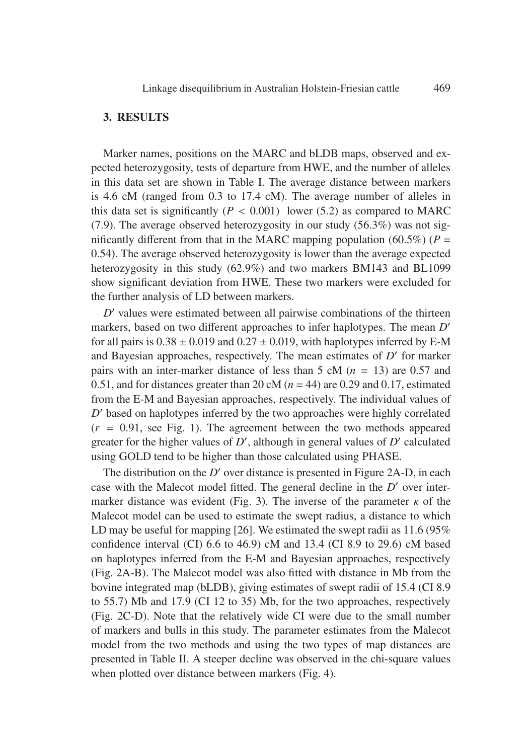# **3. RESULTS**

Marker names, positions on the MARC and bLDB maps, observed and expected heterozygosity, tests of departure from HWE, and the number of alleles in this data set are shown in Table I. The average distance between markers is 4.6 cM (ranged from 0.3 to 17.4 cM). The average number of alleles in this data set is significantly  $(P < 0.001)$  lower (5.2) as compared to MARC (7.9). The average observed heterozygosity in our study (56.3%) was not significantly different from that in the MARC mapping population (60.5%) ( $P =$ 0.54). The average observed heterozygosity is lower than the average expected heterozygosity in this study (62.9%) and two markers BM143 and BL1099 show significant deviation from HWE. These two markers were excluded for the further analysis of LD between markers.

*D*' values were estimated between all pairwise combinations of the thirteen markers, based on two different approaches to infer haplotypes. The mean *D* for all pairs is  $0.38 \pm 0.019$  and  $0.27 \pm 0.019$ , with haplotypes inferred by E-M and Bayesian approaches, respectively. The mean estimates of  $D'$  for marker pairs with an inter-marker distance of less than  $5 \text{ cM}$  ( $n = 13$ ) are 0.57 and 0.51, and for distances greater than 20 cM  $(n = 44)$  are 0.29 and 0.17, estimated from the E-M and Bayesian approaches, respectively. The individual values of *D*' based on haplotypes inferred by the two approaches were highly correlated  $(r = 0.91, \text{ see Fig. 1}).$  The agreement between the two methods appeared greater for the higher values of  $D'$ , although in general values of  $D'$  calculated using GOLD tend to be higher than those calculated using PHASE.

The distribution on the  $D'$  over distance is presented in Figure 2A-D, in each case with the Malecot model fitted. The general decline in the *D'* over intermarker distance was evident (Fig. 3). The inverse of the parameter  $\kappa$  of the Malecot model can be used to estimate the swept radius, a distance to which LD may be useful for mapping [26]. We estimated the swept radii as 11.6 (95%) confidence interval (CI) 6.6 to 46.9) cM and 13.4 (CI 8.9 to 29.6) cM based on haplotypes inferred from the E-M and Bayesian approaches, respectively (Fig. 2A-B). The Malecot model was also fitted with distance in Mb from the bovine integrated map (bLDB), giving estimates of swept radii of 15.4 (CI 8.9 to 55.7) Mb and 17.9 (CI 12 to 35) Mb, for the two approaches, respectively (Fig. 2C-D). Note that the relatively wide CI were due to the small number of markers and bulls in this study. The parameter estimates from the Malecot model from the two methods and using the two types of map distances are presented in Table II. A steeper decline was observed in the chi-square values when plotted over distance between markers (Fig. 4).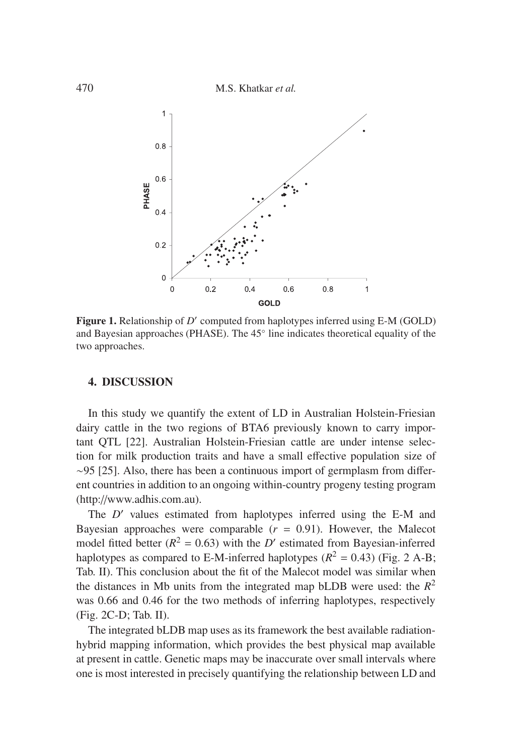470 M.S. Khatkar *et al.*



**Figure 1.** Relationship of *D'* computed from haplotypes inferred using E-M (GOLD) and Bayesian approaches (PHASE). The 45◦ line indicates theoretical equality of the two approaches.

# **4. DISCUSSION**

In this study we quantify the extent of LD in Australian Holstein-Friesian dairy cattle in the two regions of BTA6 previously known to carry important QTL [22]. Australian Holstein-Friesian cattle are under intense selection for milk production traits and have a small effective population size of ∼95 [25]. Also, there has been a continuous import of germplasm from different countries in addition to an ongoing within-country progeny testing program (http://www.adhis.com.au).

The *D'* values estimated from haplotypes inferred using the E-M and Bayesian approaches were comparable  $(r = 0.91)$ . However, the Malecot model fitted better  $(R^2 = 0.63)$  with the *D'* estimated from Bayesian-inferred haplotypes as compared to E-M-inferred haplotypes  $(R^2 = 0.43)$  (Fig. 2 A-B; Tab. II). This conclusion about the fit of the Malecot model was similar when the distances in Mb units from the integrated map bLDB were used: the  $R^2$ was 0.66 and 0.46 for the two methods of inferring haplotypes, respectively (Fig. 2C-D; Tab. II).

The integrated bLDB map uses as its framework the best available radiationhybrid mapping information, which provides the best physical map available at present in cattle. Genetic maps may be inaccurate over small intervals where one is most interested in precisely quantifying the relationship between LD and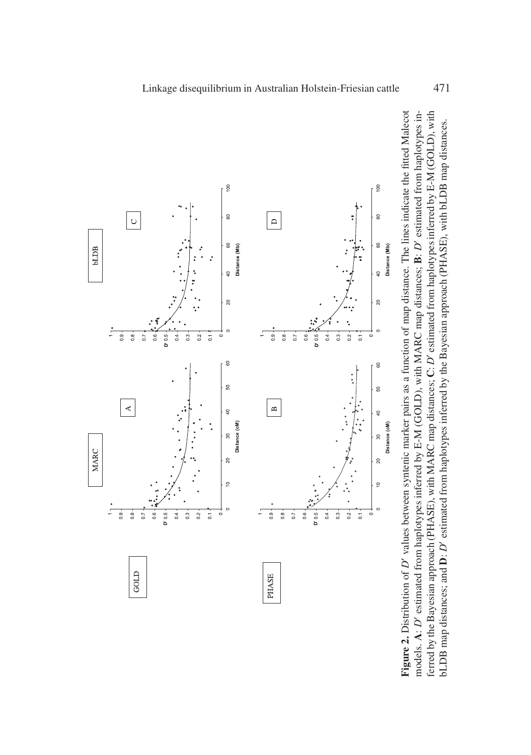

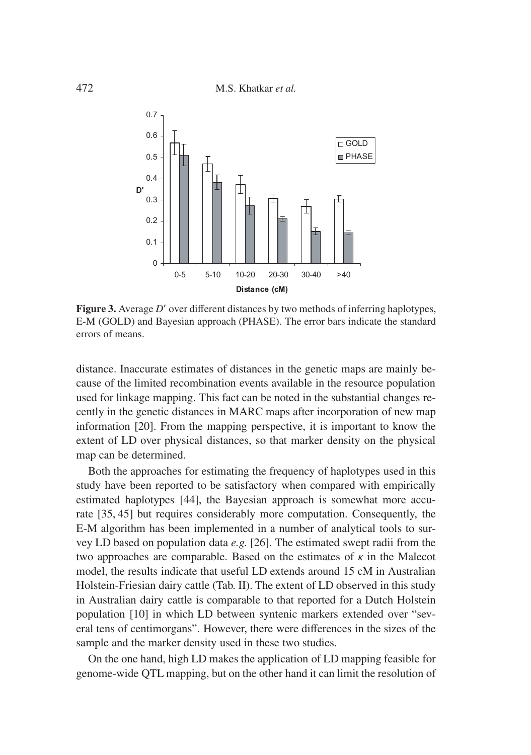

**Figure 3.** Average *D'* over different distances by two methods of inferring haplotypes, E-M (GOLD) and Bayesian approach (PHASE). The error bars indicate the standard errors of means.

distance. Inaccurate estimates of distances in the genetic maps are mainly because of the limited recombination events available in the resource population used for linkage mapping. This fact can be noted in the substantial changes recently in the genetic distances in MARC maps after incorporation of new map information [20]. From the mapping perspective, it is important to know the extent of LD over physical distances, so that marker density on the physical map can be determined.

Both the approaches for estimating the frequency of haplotypes used in this study have been reported to be satisfactory when compared with empirically estimated haplotypes [44], the Bayesian approach is somewhat more accurate [35, 45] but requires considerably more computation. Consequently, the E-M algorithm has been implemented in a number of analytical tools to survey LD based on population data *e.g.* [26]. The estimated swept radii from the two approaches are comparable. Based on the estimates of  $\kappa$  in the Malecot model, the results indicate that useful LD extends around 15 cM in Australian Holstein-Friesian dairy cattle (Tab. II). The extent of LD observed in this study in Australian dairy cattle is comparable to that reported for a Dutch Holstein population [10] in which LD between syntenic markers extended over "several tens of centimorgans". However, there were differences in the sizes of the sample and the marker density used in these two studies.

On the one hand, high LD makes the application of LD mapping feasible for genome-wide QTL mapping, but on the other hand it can limit the resolution of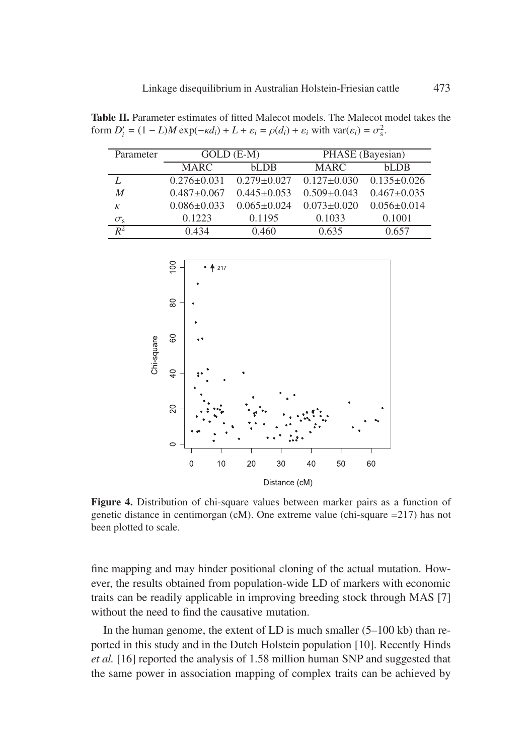**Table II.** Parameter estimates of fitted Malecot models. The Malecot model takes the form  $D'_i = (1 - L)M \exp(-\kappa d_i) + L + \varepsilon_i = \rho(d_i) + \varepsilon_i$  with var $(\varepsilon_i) = \sigma_s^2$ .

| Parameter        |                   | $GOLD$ (E-M)      | PHASE (Bayesian)  |                   |  |
|------------------|-------------------|-------------------|-------------------|-------------------|--|
|                  | <b>MARC</b>       | $h$ L $D$ $B$     | <b>MARC</b>       | bLDB              |  |
|                  | $0.276 \pm 0.031$ | $0.279 \pm 0.027$ | $0.127 \pm 0.030$ | $0.135 \pm 0.026$ |  |
| $\boldsymbol{M}$ | $0.487 \pm 0.067$ | $0.445 \pm 0.053$ | $0.509 \pm 0.043$ | $0.467 \pm 0.035$ |  |
| К                | $0.086 \pm 0.033$ | $0.065 \pm 0.024$ | $0.073 \pm 0.020$ | $0.056 \pm 0.014$ |  |
| $\sigma_{\rm s}$ | 0.1223            | 0.1195            | 0.1033            | 0.1001            |  |
| $R^2$            | 0.434             | 0.460             | 0.635             | 0.657             |  |



**Figure 4.** Distribution of chi-square values between marker pairs as a function of genetic distance in centimorgan (cM). One extreme value (chi-square =217) has not been plotted to scale.

fine mapping and may hinder positional cloning of the actual mutation. However, the results obtained from population-wide LD of markers with economic traits can be readily applicable in improving breeding stock through MAS [7] without the need to find the causative mutation.

In the human genome, the extent of LD is much smaller  $(5-100 \text{ kb})$  than reported in this study and in the Dutch Holstein population [10]. Recently Hinds *et al.* [16] reported the analysis of 1.58 million human SNP and suggested that the same power in association mapping of complex traits can be achieved by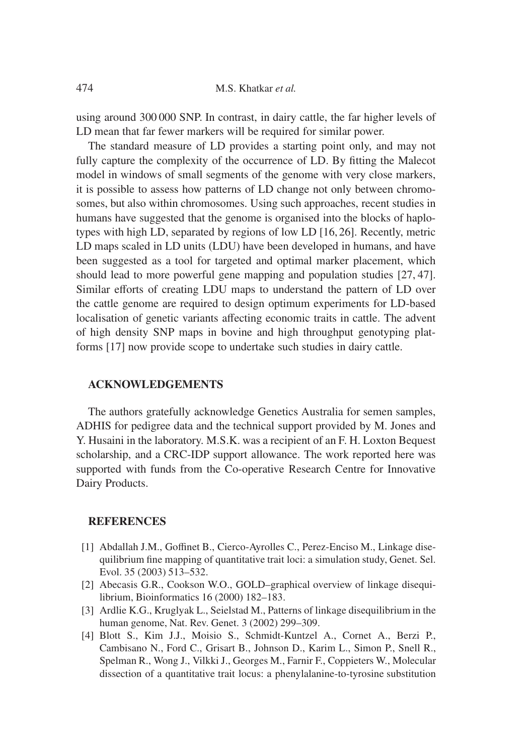using around 300 000 SNP. In contrast, in dairy cattle, the far higher levels of LD mean that far fewer markers will be required for similar power.

The standard measure of LD provides a starting point only, and may not fully capture the complexity of the occurrence of LD. By fitting the Malecot model in windows of small segments of the genome with very close markers, it is possible to assess how patterns of LD change not only between chromosomes, but also within chromosomes. Using such approaches, recent studies in humans have suggested that the genome is organised into the blocks of haplotypes with high LD, separated by regions of low LD [16, 26]. Recently, metric LD maps scaled in LD units (LDU) have been developed in humans, and have been suggested as a tool for targeted and optimal marker placement, which should lead to more powerful gene mapping and population studies [27, 47]. Similar efforts of creating LDU maps to understand the pattern of LD over the cattle genome are required to design optimum experiments for LD-based localisation of genetic variants affecting economic traits in cattle. The advent of high density SNP maps in bovine and high throughput genotyping platforms [17] now provide scope to undertake such studies in dairy cattle.

### **ACKNOWLEDGEMENTS**

The authors gratefully acknowledge Genetics Australia for semen samples, ADHIS for pedigree data and the technical support provided by M. Jones and Y. Husaini in the laboratory. M.S.K. was a recipient of an F. H. Loxton Bequest scholarship, and a CRC-IDP support allowance. The work reported here was supported with funds from the Co-operative Research Centre for Innovative Dairy Products.

#### **REFERENCES**

- [1] Abdallah J.M., Goffinet B., Cierco-Ayrolles C., Perez-Enciso M., Linkage disequilibrium fine mapping of quantitative trait loci: a simulation study, Genet. Sel. Evol. 35 (2003) 513–532.
- [2] Abecasis G.R., Cookson W.O., GOLD–graphical overview of linkage disequilibrium, Bioinformatics 16 (2000) 182–183.
- [3] Ardlie K.G., Kruglyak L., Seielstad M., Patterns of linkage disequilibrium in the human genome, Nat. Rev. Genet. 3 (2002) 299–309.
- [4] Blott S., Kim J.J., Moisio S., Schmidt-Kuntzel A., Cornet A., Berzi P., Cambisano N., Ford C., Grisart B., Johnson D., Karim L., Simon P., Snell R., Spelman R., Wong J., Vilkki J., Georges M., Farnir F., Coppieters W., Molecular dissection of a quantitative trait locus: a phenylalanine-to-tyrosine substitution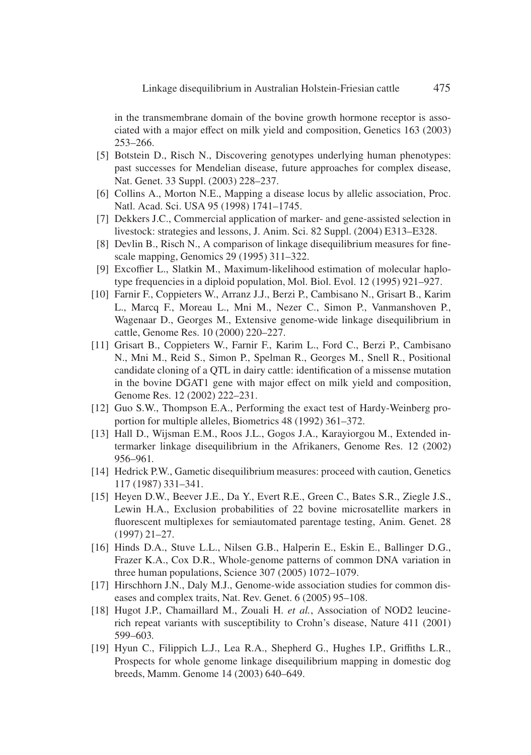in the transmembrane domain of the bovine growth hormone receptor is associated with a major effect on milk yield and composition, Genetics 163 (2003) 253–266.

- [5] Botstein D., Risch N., Discovering genotypes underlying human phenotypes: past successes for Mendelian disease, future approaches for complex disease, Nat. Genet. 33 Suppl. (2003) 228–237.
- [6] Collins A., Morton N.E., Mapping a disease locus by allelic association, Proc. Natl. Acad. Sci. USA 95 (1998) 1741–1745.
- [7] Dekkers J.C., Commercial application of marker- and gene-assisted selection in livestock: strategies and lessons, J. Anim. Sci. 82 Suppl. (2004) E313–E328.
- [8] Devlin B., Risch N., A comparison of linkage disequilibrium measures for finescale mapping, Genomics 29 (1995) 311–322.
- [9] Excoffier L., Slatkin M., Maximum-likelihood estimation of molecular haplotype frequencies in a diploid population, Mol. Biol. Evol. 12 (1995) 921–927.
- [10] Farnir F., Coppieters W., Arranz J.J., Berzi P., Cambisano N., Grisart B., Karim L., Marcq F., Moreau L., Mni M., Nezer C., Simon P., Vanmanshoven P., Wagenaar D., Georges M., Extensive genome-wide linkage disequilibrium in cattle, Genome Res. 10 (2000) 220–227.
- [11] Grisart B., Coppieters W., Farnir F., Karim L., Ford C., Berzi P., Cambisano N., Mni M., Reid S., Simon P., Spelman R., Georges M., Snell R., Positional candidate cloning of a QTL in dairy cattle: identification of a missense mutation in the bovine DGAT1 gene with major effect on milk yield and composition, Genome Res. 12 (2002) 222–231.
- [12] Guo S.W., Thompson E.A., Performing the exact test of Hardy-Weinberg proportion for multiple alleles, Biometrics 48 (1992) 361–372.
- [13] Hall D., Wijsman E.M., Roos J.L., Gogos J.A., Karayiorgou M., Extended intermarker linkage disequilibrium in the Afrikaners, Genome Res. 12 (2002) 956–961.
- [14] Hedrick P.W., Gametic disequilibrium measures: proceed with caution, Genetics 117 (1987) 331–341.
- [15] Heyen D.W., Beever J.E., Da Y., Evert R.E., Green C., Bates S.R., Ziegle J.S., Lewin H.A., Exclusion probabilities of 22 bovine microsatellite markers in fluorescent multiplexes for semiautomated parentage testing, Anim. Genet. 28 (1997) 21–27.
- [16] Hinds D.A., Stuve L.L., Nilsen G.B., Halperin E., Eskin E., Ballinger D.G., Frazer K.A., Cox D.R., Whole-genome patterns of common DNA variation in three human populations, Science 307 (2005) 1072–1079.
- [17] Hirschhorn J.N., Daly M.J., Genome-wide association studies for common diseases and complex traits, Nat. Rev. Genet. 6 (2005) 95–108.
- [18] Hugot J.P., Chamaillard M., Zouali H. *et al.*, Association of NOD2 leucinerich repeat variants with susceptibility to Crohn's disease, Nature 411 (2001) 599–603.
- [19] Hyun C., Filippich L.J., Lea R.A., Shepherd G., Hughes I.P., Griffiths L.R., Prospects for whole genome linkage disequilibrium mapping in domestic dog breeds, Mamm. Genome 14 (2003) 640–649.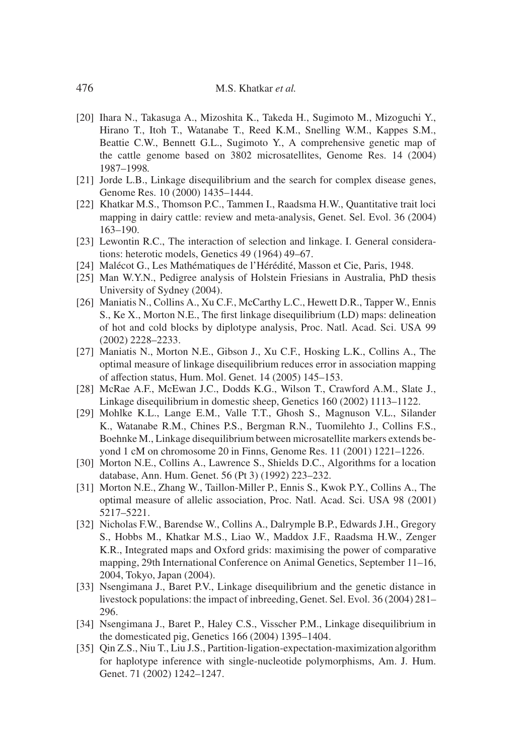- [20] Ihara N., Takasuga A., Mizoshita K., Takeda H., Sugimoto M., Mizoguchi Y., Hirano T., Itoh T., Watanabe T., Reed K.M., Snelling W.M., Kappes S.M., Beattie C.W., Bennett G.L., Sugimoto Y., A comprehensive genetic map of the cattle genome based on 3802 microsatellites, Genome Res. 14 (2004) 1987–1998.
- [21] Jorde L.B., Linkage disequilibrium and the search for complex disease genes, Genome Res. 10 (2000) 1435–1444.
- [22] Khatkar M.S., Thomson P.C., Tammen I., Raadsma H.W., Quantitative trait loci mapping in dairy cattle: review and meta-analysis, Genet. Sel. Evol. 36 (2004) 163–190.
- [23] Lewontin R.C., The interaction of selection and linkage. I. General considerations: heterotic models, Genetics 49 (1964) 49–67.
- [24] Malécot G., Les Mathématiques de l'Hérédité, Masson et Cie, Paris, 1948.
- [25] Man W.Y.N., Pedigree analysis of Holstein Friesians in Australia, PhD thesis University of Sydney (2004).
- [26] Maniatis N., Collins A., Xu C.F., McCarthy L.C., Hewett D.R., Tapper W., Ennis S., Ke X., Morton N.E., The first linkage disequilibrium (LD) maps: delineation of hot and cold blocks by diplotype analysis, Proc. Natl. Acad. Sci. USA 99 (2002) 2228–2233.
- [27] Maniatis N., Morton N.E., Gibson J., Xu C.F., Hosking L.K., Collins A., The optimal measure of linkage disequilibrium reduces error in association mapping of affection status, Hum. Mol. Genet. 14 (2005) 145–153.
- [28] McRae A.F., McEwan J.C., Dodds K.G., Wilson T., Crawford A.M., Slate J., Linkage disequilibrium in domestic sheep, Genetics 160 (2002) 1113–1122.
- [29] Mohlke K.L., Lange E.M., Valle T.T., Ghosh S., Magnuson V.L., Silander K., Watanabe R.M., Chines P.S., Bergman R.N., Tuomilehto J., Collins F.S., Boehnke M., Linkage disequilibrium between microsatellite markers extends beyond 1 cM on chromosome 20 in Finns, Genome Res. 11 (2001) 1221–1226.
- [30] Morton N.E., Collins A., Lawrence S., Shields D.C., Algorithms for a location database, Ann. Hum. Genet. 56 (Pt 3) (1992) 223–232.
- [31] Morton N.E., Zhang W., Taillon-Miller P., Ennis S., Kwok P.Y., Collins A., The optimal measure of allelic association, Proc. Natl. Acad. Sci. USA 98 (2001) 5217–5221.
- [32] Nicholas F.W., Barendse W., Collins A., Dalrymple B.P., Edwards J.H., Gregory S., Hobbs M., Khatkar M.S., Liao W., Maddox J.F., Raadsma H.W., Zenger K.R., Integrated maps and Oxford grids: maximising the power of comparative mapping, 29th International Conference on Animal Genetics, September 11–16, 2004, Tokyo, Japan (2004).
- [33] Nsengimana J., Baret P.V., Linkage disequilibrium and the genetic distance in livestock populations: the impact of inbreeding, Genet. Sel. Evol. 36 (2004) 281– 296.
- [34] Nsengimana J., Baret P., Haley C.S., Visscher P.M., Linkage disequilibrium in the domesticated pig, Genetics 166 (2004) 1395–1404.
- [35] Qin Z.S., Niu T., Liu J.S., Partition-ligation-expectation-maximization algorithm for haplotype inference with single-nucleotide polymorphisms, Am. J. Hum. Genet. 71 (2002) 1242–1247.